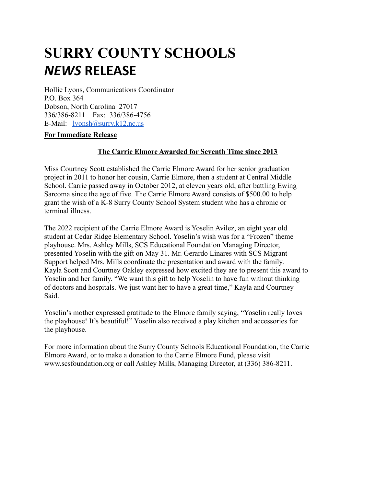## **SURRY COUNTY SCHOOLS** *NEWS* **RELEASE**

Hollie Lyons, Communications Coordinator P.O. Box 364 Dobson, North Carolina 27017 336/386-8211 Fax: 336/386-4756 E-Mail: [lyonsh@surry.k12.nc.us](mailto:lyonsh@surry.k12.nc.us)

## **For Immediate Release**

## **The Carrie Elmore Awarded for Seventh Time since 2013**

Miss Courtney Scott established the Carrie Elmore Award for her senior graduation project in 2011 to honor her cousin, Carrie Elmore, then a student at Central Middle School. Carrie passed away in October 2012, at eleven years old, after battling Ewing Sarcoma since the age of five. The Carrie Elmore Award consists of \$500.00 to help grant the wish of a K-8 Surry County School System student who has a chronic or terminal illness.

The 2022 recipient of the Carrie Elmore Award is Yoselin Avilez, an eight year old student at Cedar Ridge Elementary School. Yoselin's wish was for a "Frozen" theme playhouse. Mrs. Ashley Mills, SCS Educational Foundation Managing Director, presented Yoselin with the gift on May 31. Mr. Gerardo Linares with SCS Migrant Support helped Mrs. Mills coordinate the presentation and award with the family. Kayla Scott and Courtney Oakley expressed how excited they are to present this award to Yoselin and her family. "We want this gift to help Yoselin to have fun without thinking of doctors and hospitals. We just want her to have a great time," Kayla and Courtney Said.

Yoselin's mother expressed gratitude to the Elmore family saying, "Yoselin really loves the playhouse! It's beautiful!" Yoselin also received a play kitchen and accessories for the playhouse.

For more information about the Surry County Schools Educational Foundation, the Carrie Elmore Award, or to make a donation to the Carrie Elmore Fund, please visit www.scsfoundation.org or call Ashley Mills, Managing Director, at (336) 386-8211.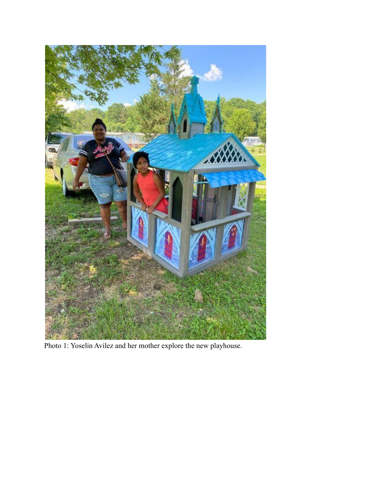

Photo 1: Yoselin Avilez and her mother explore the new playhouse.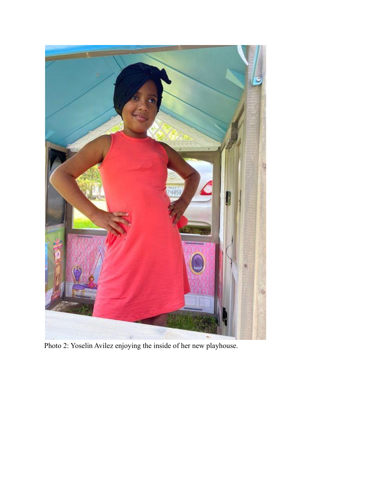

Photo 2: Yoselin Avilez enjoying the inside of her new playhouse.